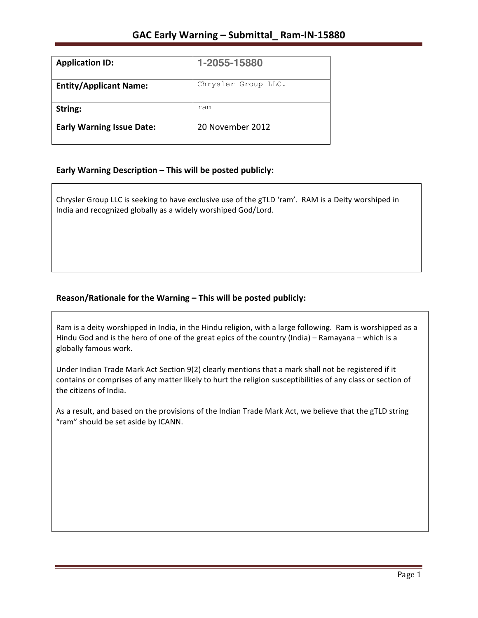| <b>Application ID:</b>           | 1-2055-15880        |
|----------------------------------|---------------------|
| <b>Entity/Applicant Name:</b>    | Chrysler Group LLC. |
| String:                          | ram                 |
| <b>Early Warning Issue Date:</b> | 20 November 2012    |

### **Early Warning Description – This will be posted publicly:**

Chrysler Group LLC is seeking to have exclusive use of the gTLD 'ram'. RAM is a Deity worshiped in India and recognized globally as a widely worshiped God/Lord.

# Reason/Rationale for the Warning – This will be posted publicly:

Ram is a deity worshipped in India, in the Hindu religion, with a large following. Ram is worshipped as a Hindu God and is the hero of one of the great epics of the country (India) – Ramayana – which is a globally famous work.

Under Indian Trade Mark Act Section 9(2) clearly mentions that a mark shall not be registered if it contains or comprises of any matter likely to hurt the religion susceptibilities of any class or section of the citizens of India.

As a result, and based on the provisions of the Indian Trade Mark Act, we believe that the gTLD string "ram" should be set aside by ICANN.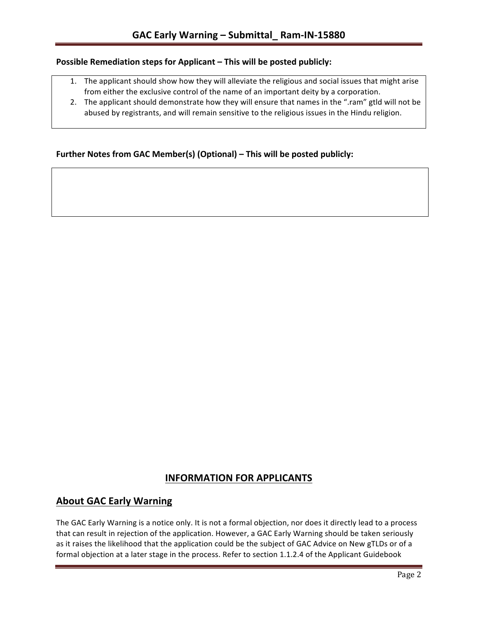### **Possible Remediation steps for Applicant – This will be posted publicly:**

- 1. The applicant should show how they will alleviate the religious and social issues that might arise from either the exclusive control of the name of an important deity by a corporation.
- 2. The applicant should demonstrate how they will ensure that names in the ".ram" gtld will not be abused by registrants, and will remain sensitive to the religious issues in the Hindu religion.

### **Further Notes from GAC Member(s) (Optional) – This will be posted publicly:**

# **INFORMATION FOR APPLICANTS**

# **About GAC Early Warning**

The GAC Early Warning is a notice only. It is not a formal objection, nor does it directly lead to a process that can result in rejection of the application. However, a GAC Early Warning should be taken seriously as it raises the likelihood that the application could be the subject of GAC Advice on New gTLDs or of a formal objection at a later stage in the process. Refer to section 1.1.2.4 of the Applicant Guidebook